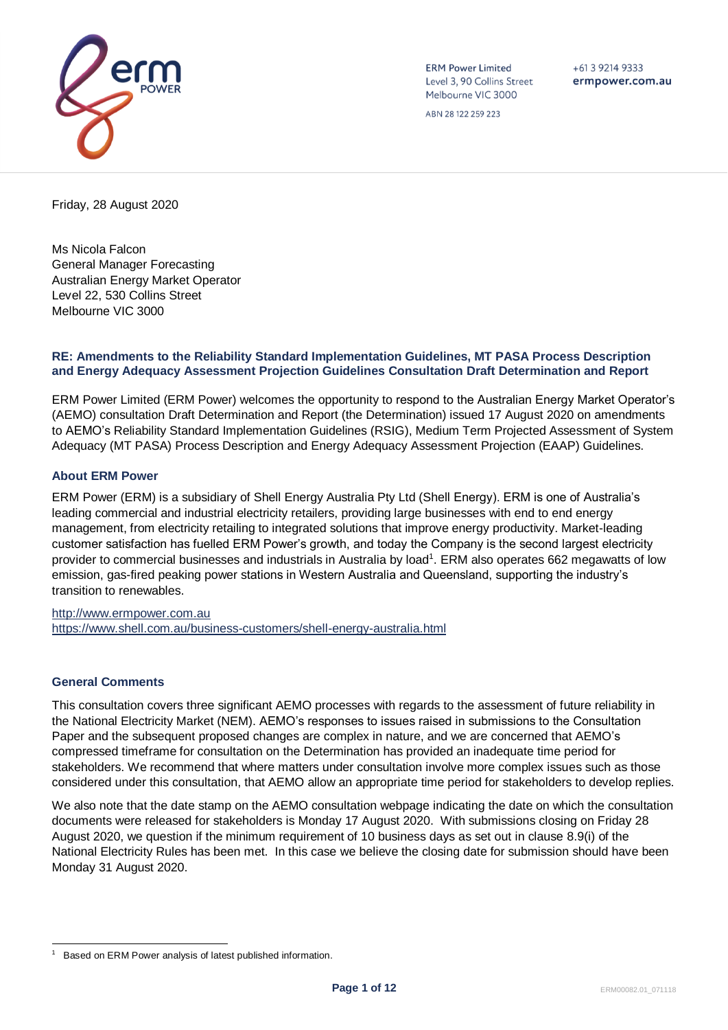

**ERM Power Limited** Level 3, 90 Collins Street Melbourne VIC 3000

 $+61$  3 9214 9333 ermpower.com.au

ABN 28 122 259 223

Friday, 28 August 2020

Ms Nicola Falcon General Manager Forecasting Australian Energy Market Operator Level 22, 530 Collins Street Melbourne VIC 3000

### **RE: Amendments to the Reliability Standard Implementation Guidelines, MT PASA Process Description and Energy Adequacy Assessment Projection Guidelines Consultation Draft Determination and Report**

ERM Power Limited (ERM Power) welcomes the opportunity to respond to the Australian Energy Market Operator's (AEMO) consultation Draft Determination and Report (the Determination) issued 17 August 2020 on amendments to AEMO's Reliability Standard Implementation Guidelines (RSIG), Medium Term Projected Assessment of System Adequacy (MT PASA) Process Description and Energy Adequacy Assessment Projection (EAAP) Guidelines.

# **About ERM Power**

ERM Power (ERM) is a subsidiary of Shell Energy Australia Pty Ltd (Shell Energy). ERM is one of Australia's leading commercial and industrial electricity retailers, providing large businesses with end to end energy management, from electricity retailing to integrated solutions that improve energy productivity. Market-leading customer satisfaction has fuelled ERM Power's growth, and today the Company is the second largest electricity provider to commercial businesses and industrials in Australia by load<sup>1</sup>. ERM also operates 662 megawatts of low emission, gas-fired peaking power stations in Western Australia and Queensland, supporting the industry's transition to renewables.

[http://www.ermpower.com.au](http://www.ermpower.com.au/) <https://www.shell.com.au/business-customers/shell-energy-australia.html>

## **General Comments**

This consultation covers three significant AEMO processes with regards to the assessment of future reliability in the National Electricity Market (NEM). AEMO's responses to issues raised in submissions to the Consultation Paper and the subsequent proposed changes are complex in nature, and we are concerned that AEMO's compressed timeframe for consultation on the Determination has provided an inadequate time period for stakeholders. We recommend that where matters under consultation involve more complex issues such as those considered under this consultation, that AEMO allow an appropriate time period for stakeholders to develop replies.

We also note that the date stamp on the AEMO consultation webpage indicating the date on which the consultation documents were released for stakeholders is Monday 17 August 2020. With submissions closing on Friday 28 August 2020, we question if the minimum requirement of 10 business days as set out in clause 8.9(i) of the National Electricity Rules has been met. In this case we believe the closing date for submission should have been Monday 31 August 2020.

<sup>1</sup> Based on ERM Power analysis of latest published information.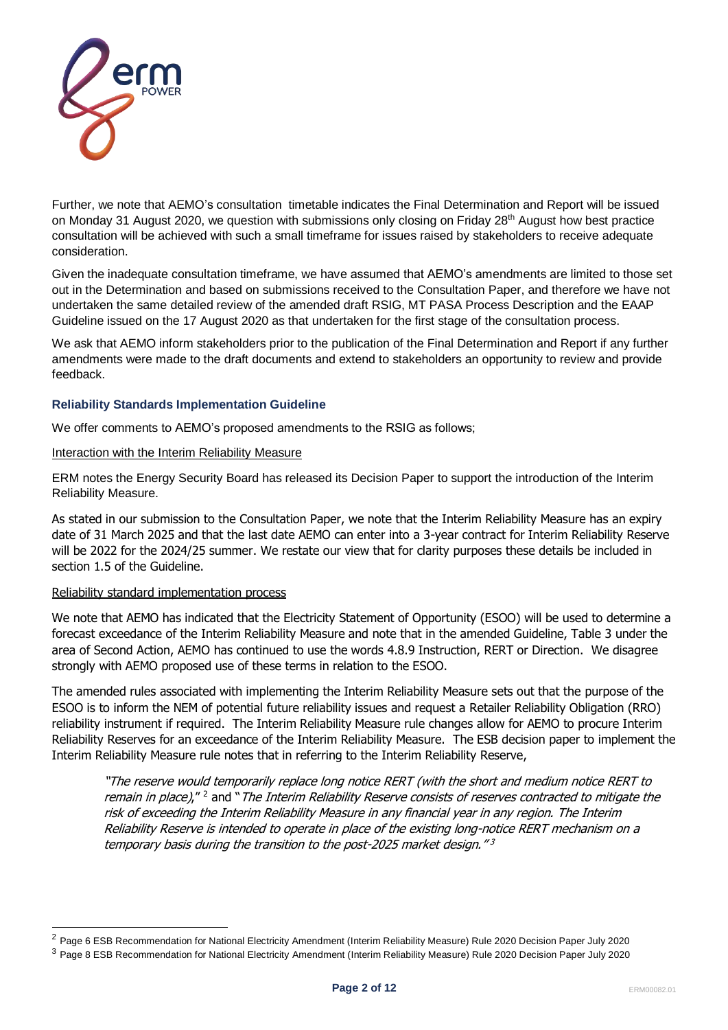

Further, we note that AEMO's consultation timetable indicates the Final Determination and Report will be issued on Monday 31 August 2020, we question with submissions only closing on Friday 28<sup>th</sup> August how best practice consultation will be achieved with such a small timeframe for issues raised by stakeholders to receive adequate consideration.

Given the inadequate consultation timeframe, we have assumed that AEMO's amendments are limited to those set out in the Determination and based on submissions received to the Consultation Paper, and therefore we have not undertaken the same detailed review of the amended draft RSIG, MT PASA Process Description and the EAAP Guideline issued on the 17 August 2020 as that undertaken for the first stage of the consultation process.

We ask that AEMO inform stakeholders prior to the publication of the Final Determination and Report if any further amendments were made to the draft documents and extend to stakeholders an opportunity to review and provide feedback.

## **Reliability Standards Implementation Guideline**

We offer comments to AEMO's proposed amendments to the RSIG as follows;

### Interaction with the Interim Reliability Measure

ERM notes the Energy Security Board has released its Decision Paper to support the introduction of the Interim Reliability Measure.

As stated in our submission to the Consultation Paper, we note that the Interim Reliability Measure has an expiry date of 31 March 2025 and that the last date AEMO can enter into a 3-year contract for Interim Reliability Reserve will be 2022 for the 2024/25 summer. We restate our view that for clarity purposes these details be included in section 1.5 of the Guideline.

## Reliability standard implementation process

We note that AEMO has indicated that the Electricity Statement of Opportunity (ESOO) will be used to determine a forecast exceedance of the Interim Reliability Measure and note that in the amended Guideline, Table 3 under the area of Second Action, AEMO has continued to use the words 4.8.9 Instruction, RERT or Direction. We disagree strongly with AEMO proposed use of these terms in relation to the ESOO.

The amended rules associated with implementing the Interim Reliability Measure sets out that the purpose of the ESOO is to inform the NEM of potential future reliability issues and request a Retailer Reliability Obligation (RRO) reliability instrument if required. The Interim Reliability Measure rule changes allow for AEMO to procure Interim Reliability Reserves for an exceedance of the Interim Reliability Measure. The ESB decision paper to implement the Interim Reliability Measure rule notes that in referring to the Interim Reliability Reserve,

"The reserve would temporarily replace long notice RERT (with the short and medium notice RERT to remain in place)," <sup>2</sup> and "The Interim Reliability Reserve consists of reserves contracted to mitigate the risk of exceeding the Interim Reliability Measure in any financial year in any region. The Interim Reliability Reserve is intended to operate in place of the existing long-notice RERT mechanism on a temporary basis during the transition to the post-2025 market design." 3

<sup>&</sup>lt;sup>2</sup> Page 6 ESB Recommendation for National Electricity Amendment (Interim Reliability Measure) Rule 2020 Decision Paper July 2020

<sup>3</sup> Page 8 ESB Recommendation for National Electricity Amendment (Interim Reliability Measure) Rule 2020 Decision Paper July 2020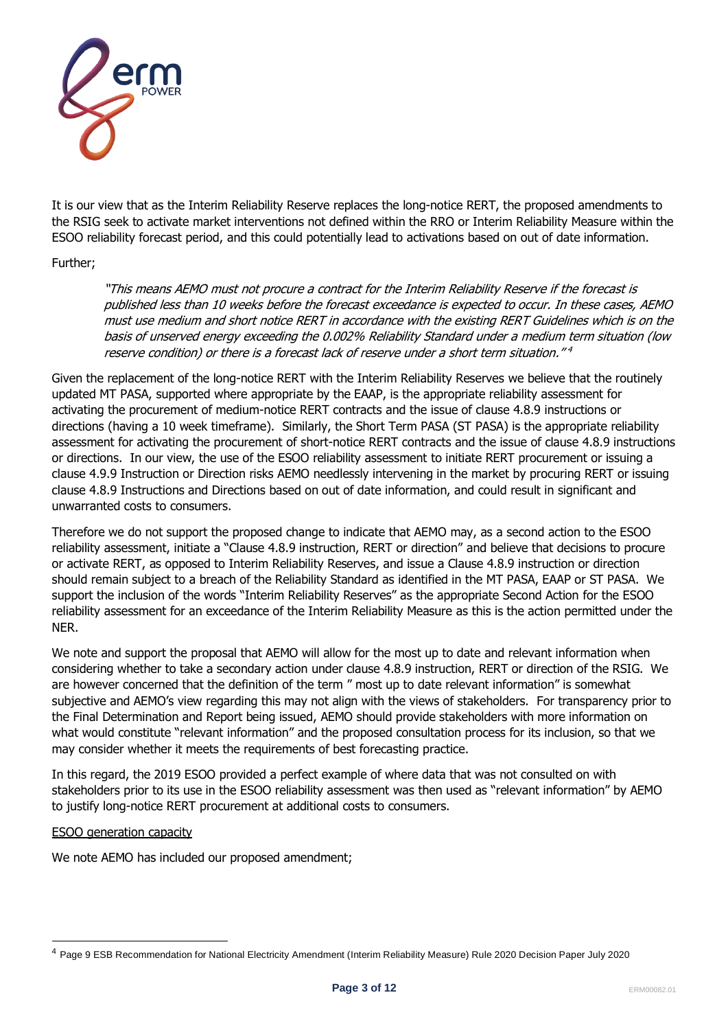

It is our view that as the Interim Reliability Reserve replaces the long-notice RERT, the proposed amendments to the RSIG seek to activate market interventions not defined within the RRO or Interim Reliability Measure within the ESOO reliability forecast period, and this could potentially lead to activations based on out of date information.

# Further;

"This means AEMO must not procure a contract for the Interim Reliability Reserve if the forecast is published less than 10 weeks before the forecast exceedance is expected to occur. In these cases, AEMO must use medium and short notice RERT in accordance with the existing RERT Guidelines which is on the basis of unserved energy exceeding the 0.002% Reliability Standard under a medium term situation (low reserve condition) or there is a forecast lack of reserve under a short term situation." 4

Given the replacement of the long-notice RERT with the Interim Reliability Reserves we believe that the routinely updated MT PASA, supported where appropriate by the EAAP, is the appropriate reliability assessment for activating the procurement of medium-notice RERT contracts and the issue of clause 4.8.9 instructions or directions (having a 10 week timeframe). Similarly, the Short Term PASA (ST PASA) is the appropriate reliability assessment for activating the procurement of short-notice RERT contracts and the issue of clause 4.8.9 instructions or directions. In our view, the use of the ESOO reliability assessment to initiate RERT procurement or issuing a clause 4.9.9 Instruction or Direction risks AEMO needlessly intervening in the market by procuring RERT or issuing clause 4.8.9 Instructions and Directions based on out of date information, and could result in significant and unwarranted costs to consumers.

Therefore we do not support the proposed change to indicate that AEMO may, as a second action to the ESOO reliability assessment, initiate a "Clause 4.8.9 instruction, RERT or direction" and believe that decisions to procure or activate RERT, as opposed to Interim Reliability Reserves, and issue a Clause 4.8.9 instruction or direction should remain subject to a breach of the Reliability Standard as identified in the MT PASA, EAAP or ST PASA. We support the inclusion of the words "Interim Reliability Reserves" as the appropriate Second Action for the ESOO reliability assessment for an exceedance of the Interim Reliability Measure as this is the action permitted under the NER.

We note and support the proposal that AEMO will allow for the most up to date and relevant information when considering whether to take a secondary action under clause 4.8.9 instruction, RERT or direction of the RSIG. We are however concerned that the definition of the term " most up to date relevant information" is somewhat subjective and AEMO's view regarding this may not align with the views of stakeholders. For transparency prior to the Final Determination and Report being issued, AEMO should provide stakeholders with more information on what would constitute "relevant information" and the proposed consultation process for its inclusion, so that we may consider whether it meets the requirements of best forecasting practice.

In this regard, the 2019 ESOO provided a perfect example of where data that was not consulted on with stakeholders prior to its use in the ESOO reliability assessment was then used as "relevant information" by AEMO to justify long-notice RERT procurement at additional costs to consumers.

## ESOO generation capacity

We note AEMO has included our proposed amendment;

<sup>4</sup> Page 9 ESB Recommendation for National Electricity Amendment (Interim Reliability Measure) Rule 2020 Decision Paper July 2020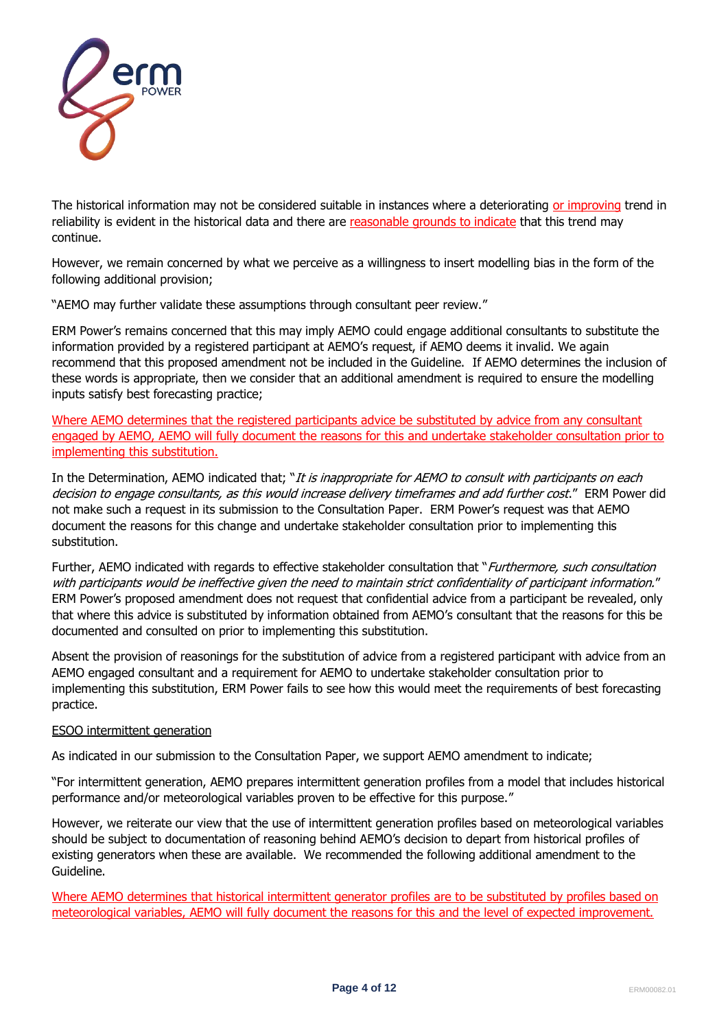

The historical information may not be considered suitable in instances where a deteriorating or improving trend in reliability is evident in the historical data and there are reasonable grounds to indicate that this trend may continue.

However, we remain concerned by what we perceive as a willingness to insert modelling bias in the form of the following additional provision;

"AEMO may further validate these assumptions through consultant peer review."

ERM Power's remains concerned that this may imply AEMO could engage additional consultants to substitute the information provided by a registered participant at AEMO's request, if AEMO deems it invalid. We again recommend that this proposed amendment not be included in the Guideline. If AEMO determines the inclusion of these words is appropriate, then we consider that an additional amendment is required to ensure the modelling inputs satisfy best forecasting practice;

Where AEMO determines that the registered participants advice be substituted by advice from any consultant engaged by AEMO, AEMO will fully document the reasons for this and undertake stakeholder consultation prior to implementing this substitution.

In the Determination, AEMO indicated that; "It is inappropriate for AEMO to consult with participants on each decision to engage consultants, as this would increase delivery timeframes and add further cost." ERM Power did not make such a request in its submission to the Consultation Paper. ERM Power's request was that AEMO document the reasons for this change and undertake stakeholder consultation prior to implementing this substitution.

Further, AEMO indicated with regards to effective stakeholder consultation that "Furthermore, such consultation with participants would be ineffective given the need to maintain strict confidentiality of participant information." ERM Power's proposed amendment does not request that confidential advice from a participant be revealed, only that where this advice is substituted by information obtained from AEMO's consultant that the reasons for this be documented and consulted on prior to implementing this substitution.

Absent the provision of reasonings for the substitution of advice from a registered participant with advice from an AEMO engaged consultant and a requirement for AEMO to undertake stakeholder consultation prior to implementing this substitution, ERM Power fails to see how this would meet the requirements of best forecasting practice.

## ESOO intermittent generation

As indicated in our submission to the Consultation Paper, we support AEMO amendment to indicate;

"For intermittent generation, AEMO prepares intermittent generation profiles from a model that includes historical performance and/or meteorological variables proven to be effective for this purpose."

However, we reiterate our view that the use of intermittent generation profiles based on meteorological variables should be subject to documentation of reasoning behind AEMO's decision to depart from historical profiles of existing generators when these are available. We recommended the following additional amendment to the Guideline.

Where AEMO determines that historical intermittent generator profiles are to be substituted by profiles based on meteorological variables, AEMO will fully document the reasons for this and the level of expected improvement.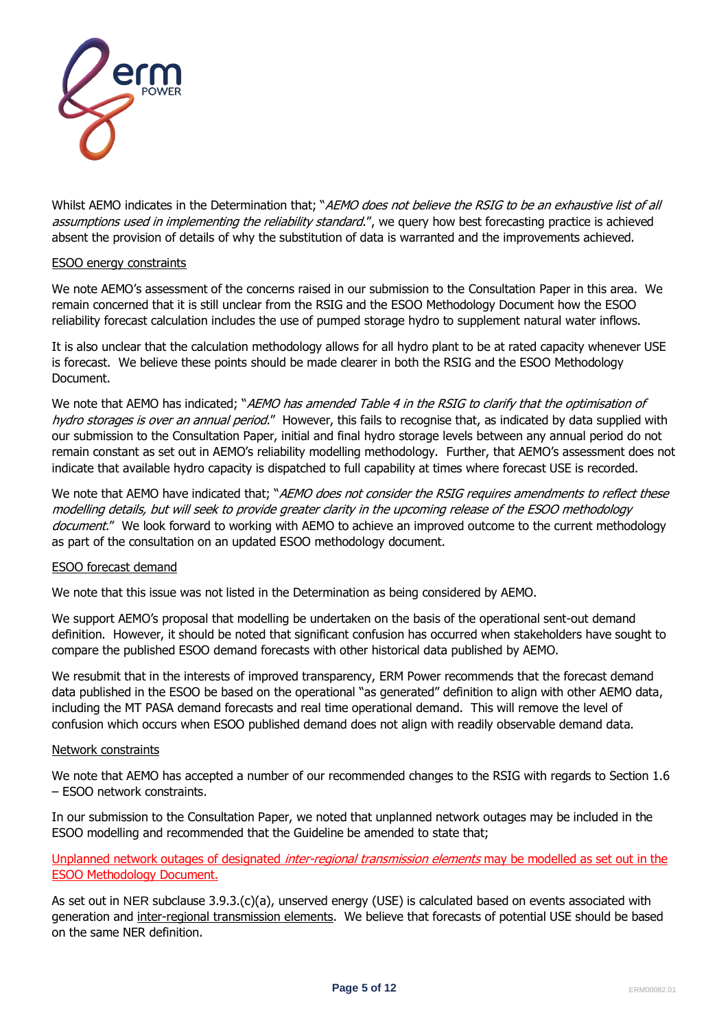

Whilst AEMO indicates in the Determination that; "AEMO does not believe the RSIG to be an exhaustive list of all assumptions used in implementing the reliability standard.", we query how best forecasting practice is achieved absent the provision of details of why the substitution of data is warranted and the improvements achieved.

### ESOO energy constraints

We note AEMO's assessment of the concerns raised in our submission to the Consultation Paper in this area. We remain concerned that it is still unclear from the RSIG and the ESOO Methodology Document how the ESOO reliability forecast calculation includes the use of pumped storage hydro to supplement natural water inflows.

It is also unclear that the calculation methodology allows for all hydro plant to be at rated capacity whenever USE is forecast. We believe these points should be made clearer in both the RSIG and the ESOO Methodology Document.

We note that AEMO has indicated; "AEMO has amended Table 4 in the RSIG to clarify that the optimisation of hydro storages is over an annual period." However, this fails to recognise that, as indicated by data supplied with our submission to the Consultation Paper, initial and final hydro storage levels between any annual period do not remain constant as set out in AEMO's reliability modelling methodology. Further, that AEMO's assessment does not indicate that available hydro capacity is dispatched to full capability at times where forecast USE is recorded.

We note that AEMO have indicated that; "AEMO does not consider the RSIG requires amendments to reflect these modelling details, but will seek to provide greater clarity in the upcoming release of the ESOO methodology document." We look forward to working with AEMO to achieve an improved outcome to the current methodology as part of the consultation on an updated ESOO methodology document.

## ESOO forecast demand

We note that this issue was not listed in the Determination as being considered by AEMO.

We support AEMO's proposal that modelling be undertaken on the basis of the operational sent-out demand definition. However, it should be noted that significant confusion has occurred when stakeholders have sought to compare the published ESOO demand forecasts with other historical data published by AEMO.

We resubmit that in the interests of improved transparency, ERM Power recommends that the forecast demand data published in the ESOO be based on the operational "as generated" definition to align with other AEMO data, including the MT PASA demand forecasts and real time operational demand. This will remove the level of confusion which occurs when ESOO published demand does not align with readily observable demand data.

## Network constraints

We note that AEMO has accepted a number of our recommended changes to the RSIG with regards to Section 1.6 – ESOO network constraints.

In our submission to the Consultation Paper, we noted that unplanned network outages may be included in the ESOO modelling and recommended that the Guideline be amended to state that;

# Unplanned network outages of designated *inter-regional transmission elements* may be modelled as set out in the ESOO Methodology Document.

As set out in NER subclause 3.9.3.(c)(a), unserved energy (USE) is calculated based on events associated with generation and inter-regional transmission elements. We believe that forecasts of potential USE should be based on the same NER definition.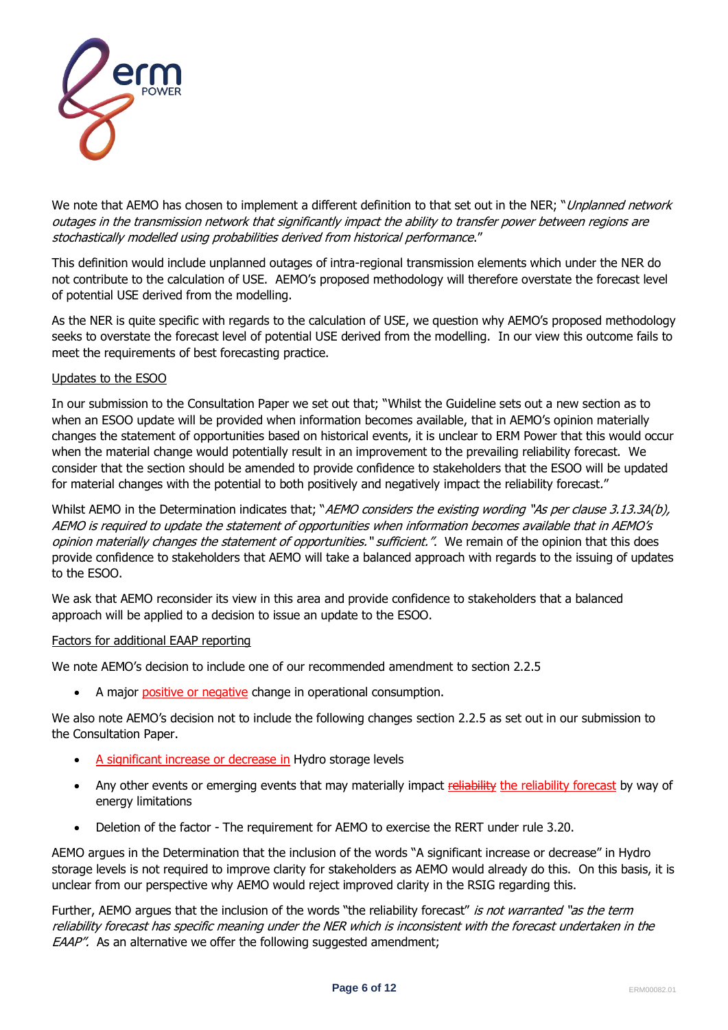

We note that AEMO has chosen to implement a different definition to that set out in the NER; "Unplanned network outages in the transmission network that significantly impact the ability to transfer power between regions are stochastically modelled using probabilities derived from historical performance."

This definition would include unplanned outages of intra-regional transmission elements which under the NER do not contribute to the calculation of USE. AEMO's proposed methodology will therefore overstate the forecast level of potential USE derived from the modelling.

As the NER is quite specific with regards to the calculation of USE, we question why AEMO's proposed methodology seeks to overstate the forecast level of potential USE derived from the modelling. In our view this outcome fails to meet the requirements of best forecasting practice.

## Updates to the ESOO

In our submission to the Consultation Paper we set out that; "Whilst the Guideline sets out a new section as to when an ESOO update will be provided when information becomes available, that in AEMO's opinion materially changes the statement of opportunities based on historical events, it is unclear to ERM Power that this would occur when the material change would potentially result in an improvement to the prevailing reliability forecast. We consider that the section should be amended to provide confidence to stakeholders that the ESOO will be updated for material changes with the potential to both positively and negatively impact the reliability forecast."

Whilst AEMO in the Determination indicates that; "AEMO considers the existing wording "As per clause 3.13.3A(b), AEMO is required to update the statement of opportunities when information becomes available that in AEMO's opinion materially changes the statement of opportunities." sufficient.". We remain of the opinion that this does provide confidence to stakeholders that AEMO will take a balanced approach with regards to the issuing of updates to the ESOO.

We ask that AEMO reconsider its view in this area and provide confidence to stakeholders that a balanced approach will be applied to a decision to issue an update to the ESOO.

## Factors for additional EAAP reporting

We note AEMO's decision to include one of our recommended amendment to section 2.2.5

• A major positive or negative change in operational consumption.

We also note AEMO's decision not to include the following changes section 2.2.5 as set out in our submission to the Consultation Paper.

- A significant increase or decrease in Hydro storage levels
- Any other events or emerging events that may materially impact reliability the reliability forecast by way of energy limitations
- Deletion of the factor The requirement for AEMO to exercise the RERT under rule 3.20.

AEMO argues in the Determination that the inclusion of the words "A significant increase or decrease" in Hydro storage levels is not required to improve clarity for stakeholders as AEMO would already do this. On this basis, it is unclear from our perspective why AEMO would reject improved clarity in the RSIG regarding this.

Further, AEMO argues that the inclusion of the words "the reliability forecast" is not warranted "as the term reliability forecast has specific meaning under the NER which is inconsistent with the forecast undertaken in the EAAP". As an alternative we offer the following suggested amendment;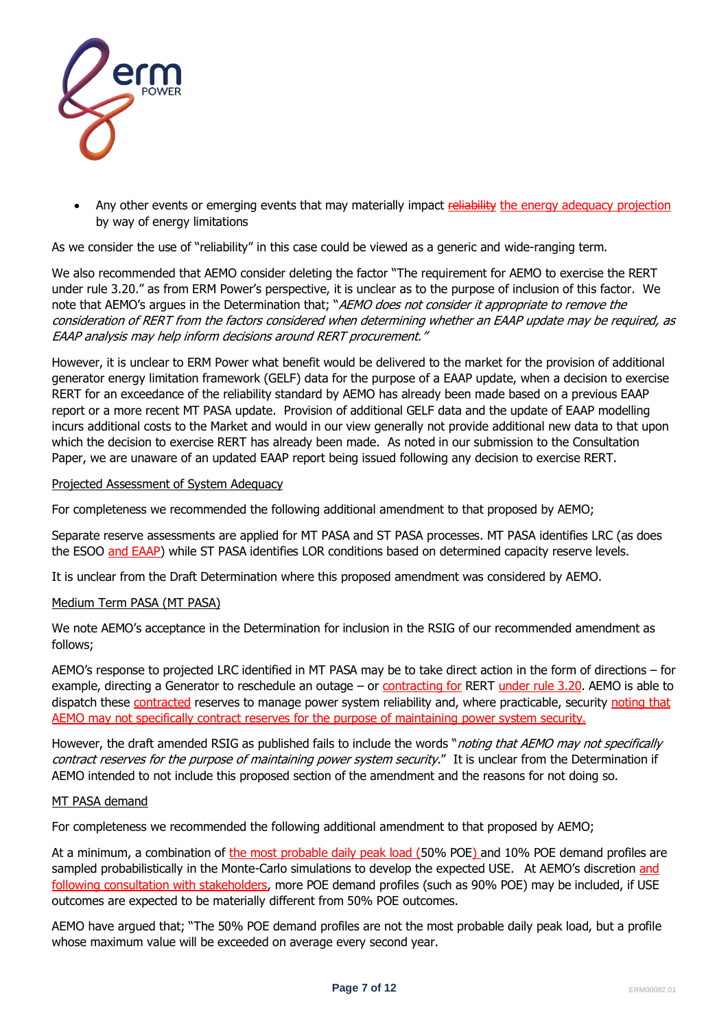

Any other events or emerging events that may materially impact reliability the energy adequacy projection by way of energy limitations

As we consider the use of "reliability" in this case could be viewed as a generic and wide-ranging term.

We also recommended that AEMO consider deleting the factor "The requirement for AEMO to exercise the RERT under rule 3.20." as from ERM Power's perspective, it is unclear as to the purpose of inclusion of this factor. We note that AEMO's argues in the Determination that; "AEMO does not consider it appropriate to remove the consideration of RERT from the factors considered when determining whether an EAAP update may be required, as EAAP analysis may help inform decisions around RERT procurement."

However, it is unclear to ERM Power what benefit would be delivered to the market for the provision of additional generator energy limitation framework (GELF) data for the purpose of a EAAP update, when a decision to exercise RERT for an exceedance of the reliability standard by AEMO has already been made based on a previous EAAP report or a more recent MT PASA update. Provision of additional GELF data and the update of EAAP modelling incurs additional costs to the Market and would in our view generally not provide additional new data to that upon which the decision to exercise RERT has already been made. As noted in our submission to the Consultation Paper, we are unaware of an updated EAAP report being issued following any decision to exercise RERT.

### Projected Assessment of System Adequacy

For completeness we recommended the following additional amendment to that proposed by AEMO;

Separate reserve assessments are applied for MT PASA and ST PASA processes. MT PASA identifies LRC (as does the ESOO and EAAP) while ST PASA identifies LOR conditions based on determined capacity reserve levels.

It is unclear from the Draft Determination where this proposed amendment was considered by AEMO.

### Medium Term PASA (MT PASA)

We note AEMO's acceptance in the Determination for inclusion in the RSIG of our recommended amendment as follows;

AEMO's response to projected LRC identified in MT PASA may be to take direct action in the form of directions – for example, directing a Generator to reschedule an outage - or contracting for RERT under rule 3.20. AEMO is able to dispatch these contracted reserves to manage power system reliability and, where practicable, security noting that AEMO may not specifically contract reserves for the purpose of maintaining power system security.

However, the draft amended RSIG as published fails to include the words "*noting that AEMO may not specifically* contract reserves for the purpose of maintaining power system security." It is unclear from the Determination if AEMO intended to not include this proposed section of the amendment and the reasons for not doing so.

## MT PASA demand

For completeness we recommended the following additional amendment to that proposed by AEMO;

At a minimum, a combination of the most probable daily peak load (50% POE) and 10% POE demand profiles are sampled probabilistically in the Monte-Carlo simulations to develop the expected USE. At AEMO's discretion and following consultation with stakeholders, more POE demand profiles (such as 90% POE) may be included, if USE outcomes are expected to be materially different from 50% POE outcomes.

AEMO have argued that; "The 50% POE demand profiles are not the most probable daily peak load, but a profile whose maximum value will be exceeded on average every second year.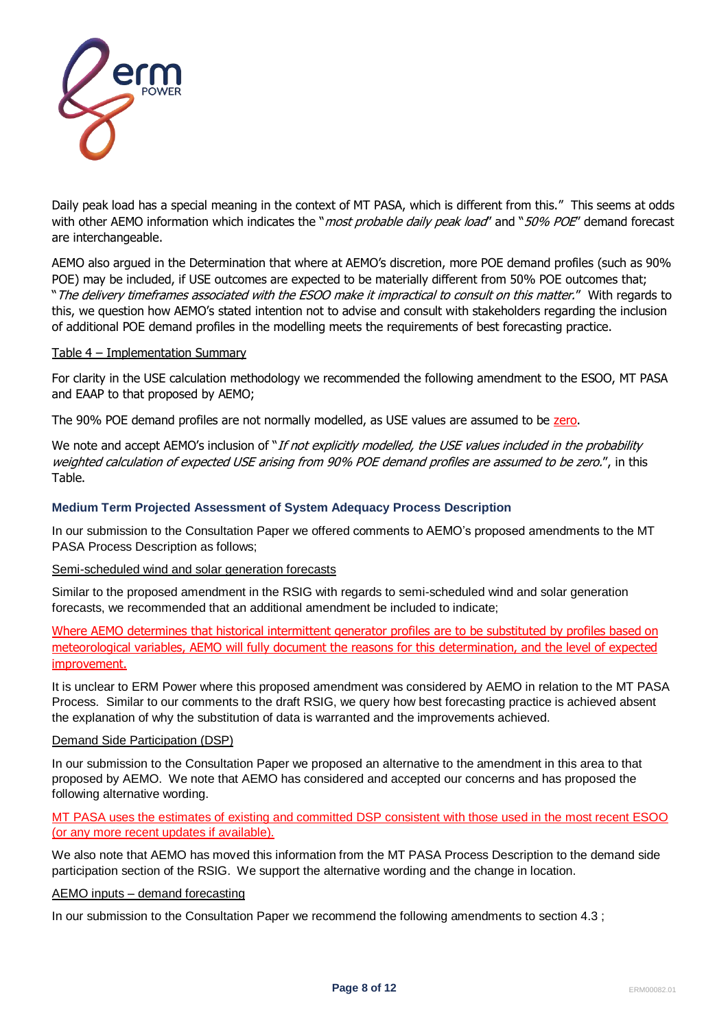

Daily peak load has a special meaning in the context of MT PASA, which is different from this." This seems at odds with other AEMO information which indicates the "*most probable daily peak load"* and "50% POE" demand forecast are interchangeable.

AEMO also argued in the Determination that where at AEMO's discretion, more POE demand profiles (such as 90% POE) may be included, if USE outcomes are expected to be materially different from 50% POE outcomes that; "The delivery timeframes associated with the ESOO make it impractical to consult on this matter." With regards to this, we question how AEMO's stated intention not to advise and consult with stakeholders regarding the inclusion of additional POE demand profiles in the modelling meets the requirements of best forecasting practice.

### Table 4 – Implementation Summary

For clarity in the USE calculation methodology we recommended the following amendment to the ESOO, MT PASA and EAAP to that proposed by AEMO;

The 90% POE demand profiles are not normally modelled, as USE values are assumed to be zero.

We note and accept AEMO's inclusion of "If not explicitly modelled, the USE values included in the probability weighted calculation of expected USE arising from 90% POE demand profiles are assumed to be zero.", in this Table.

## **Medium Term Projected Assessment of System Adequacy Process Description**

In our submission to the Consultation Paper we offered comments to AEMO's proposed amendments to the MT PASA Process Description as follows;

### Semi-scheduled wind and solar generation forecasts

Similar to the proposed amendment in the RSIG with regards to semi-scheduled wind and solar generation forecasts, we recommended that an additional amendment be included to indicate;

Where AEMO determines that historical intermittent generator profiles are to be substituted by profiles based on meteorological variables, AEMO will fully document the reasons for this determination, and the level of expected improvement.

It is unclear to ERM Power where this proposed amendment was considered by AEMO in relation to the MT PASA Process. Similar to our comments to the draft RSIG, we query how best forecasting practice is achieved absent the explanation of why the substitution of data is warranted and the improvements achieved.

### Demand Side Participation (DSP)

In our submission to the Consultation Paper we proposed an alternative to the amendment in this area to that proposed by AEMO. We note that AEMO has considered and accepted our concerns and has proposed the following alternative wording.

MT PASA uses the estimates of existing and committed DSP consistent with those used in the most recent ESOO (or any more recent updates if available).

We also note that AEMO has moved this information from the MT PASA Process Description to the demand side participation section of the RSIG. We support the alternative wording and the change in location.

### AEMO inputs – demand forecasting

In our submission to the Consultation Paper we recommend the following amendments to section 4.3 ;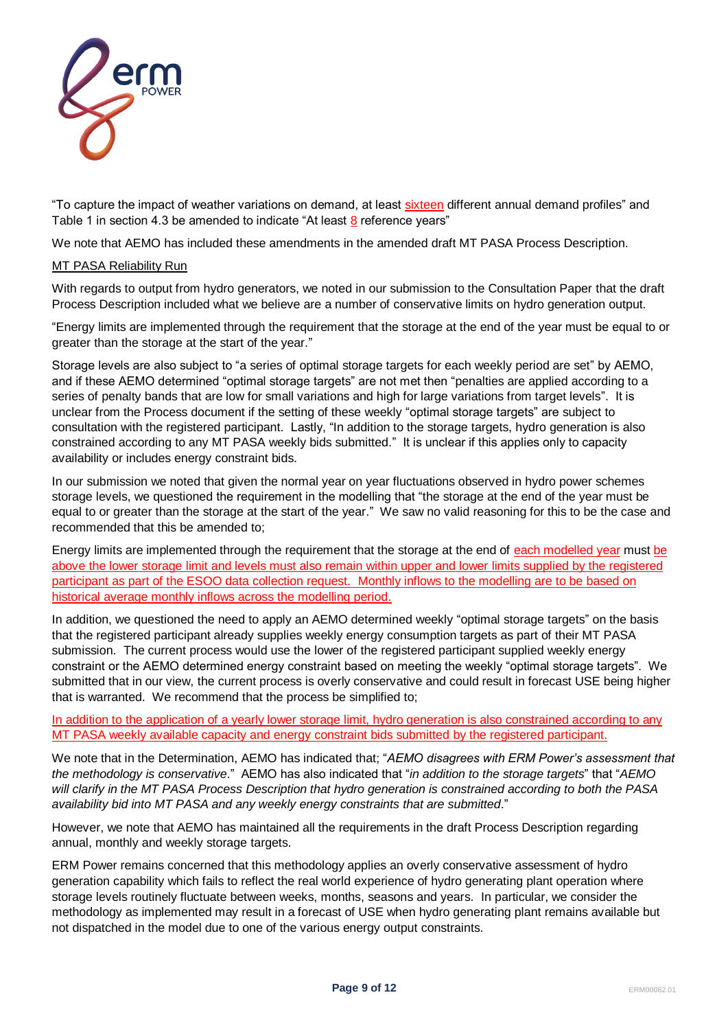

"To capture the impact of weather variations on demand, at least sixteen different annual demand profiles" and Table 1 in section 4.3 be amended to indicate "At least 8 reference years"

We note that AEMO has included these amendments in the amended draft MT PASA Process Description.

### MT PASA Reliability Run

With regards to output from hydro generators, we noted in our submission to the Consultation Paper that the draft Process Description included what we believe are a number of conservative limits on hydro generation output.

"Energy limits are implemented through the requirement that the storage at the end of the year must be equal to or greater than the storage at the start of the year."

Storage levels are also subject to "a series of optimal storage targets for each weekly period are set" by AEMO, and if these AEMO determined "optimal storage targets" are not met then "penalties are applied according to a series of penalty bands that are low for small variations and high for large variations from target levels". It is unclear from the Process document if the setting of these weekly "optimal storage targets" are subject to consultation with the registered participant. Lastly, "In addition to the storage targets, hydro generation is also constrained according to any MT PASA weekly bids submitted." It is unclear if this applies only to capacity availability or includes energy constraint bids.

In our submission we noted that given the normal year on year fluctuations observed in hydro power schemes storage levels, we questioned the requirement in the modelling that "the storage at the end of the year must be equal to or greater than the storage at the start of the year." We saw no valid reasoning for this to be the case and recommended that this be amended to;

Energy limits are implemented through the requirement that the storage at the end of each modelled year must be above the lower storage limit and levels must also remain within upper and lower limits supplied by the registered participant as part of the ESOO data collection request. Monthly inflows to the modelling are to be based on historical average monthly inflows across the modelling period.

In addition, we questioned the need to apply an AEMO determined weekly "optimal storage targets" on the basis that the registered participant already supplies weekly energy consumption targets as part of their MT PASA submission. The current process would use the lower of the registered participant supplied weekly energy constraint or the AEMO determined energy constraint based on meeting the weekly "optimal storage targets". We submitted that in our view, the current process is overly conservative and could result in forecast USE being higher that is warranted. We recommend that the process be simplified to;

In addition to the application of a yearly lower storage limit, hydro generation is also constrained according to any MT PASA weekly available capacity and energy constraint bids submitted by the registered participant.

We note that in the Determination, AEMO has indicated that; "*AEMO disagrees with ERM Power's assessment that the methodology is conservative*." AEMO has also indicated that "*in addition to the storage targets*" that "*AEMO will clarify in the MT PASA Process Description that hydro generation is constrained according to both the PASA availability bid into MT PASA and any weekly energy constraints that are submitted*."

However, we note that AEMO has maintained all the requirements in the draft Process Description regarding annual, monthly and weekly storage targets.

ERM Power remains concerned that this methodology applies an overly conservative assessment of hydro generation capability which fails to reflect the real world experience of hydro generating plant operation where storage levels routinely fluctuate between weeks, months, seasons and years. In particular, we consider the methodology as implemented may result in a forecast of USE when hydro generating plant remains available but not dispatched in the model due to one of the various energy output constraints.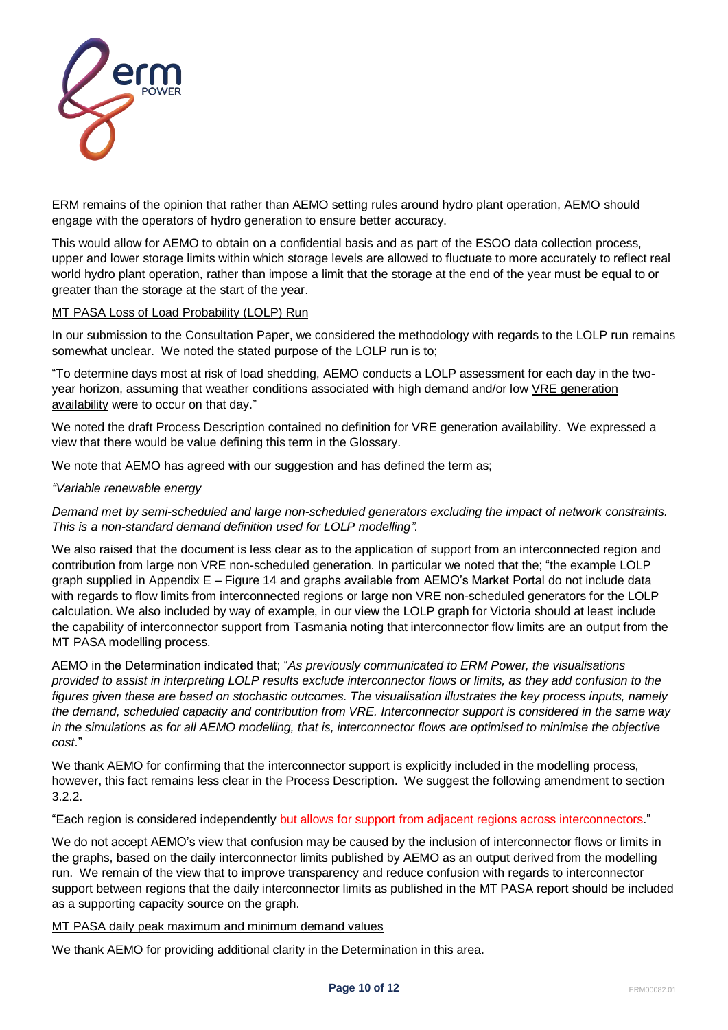

ERM remains of the opinion that rather than AEMO setting rules around hydro plant operation, AEMO should engage with the operators of hydro generation to ensure better accuracy.

This would allow for AEMO to obtain on a confidential basis and as part of the ESOO data collection process, upper and lower storage limits within which storage levels are allowed to fluctuate to more accurately to reflect real world hydro plant operation, rather than impose a limit that the storage at the end of the year must be equal to or greater than the storage at the start of the year.

## MT PASA Loss of Load Probability (LOLP) Run

In our submission to the Consultation Paper, we considered the methodology with regards to the LOLP run remains somewhat unclear. We noted the stated purpose of the LOLP run is to;

"To determine days most at risk of load shedding, AEMO conducts a LOLP assessment for each day in the twoyear horizon, assuming that weather conditions associated with high demand and/or low VRE generation availability were to occur on that day."

We noted the draft Process Description contained no definition for VRE generation availability. We expressed a view that there would be value defining this term in the Glossary.

We note that AEMO has agreed with our suggestion and has defined the term as;

# *"Variable renewable energy*

*Demand met by semi-scheduled and large non-scheduled generators excluding the impact of network constraints. This is a non-standard demand definition used for LOLP modelling".*

We also raised that the document is less clear as to the application of support from an interconnected region and contribution from large non VRE non-scheduled generation. In particular we noted that the; "the example LOLP graph supplied in Appendix E – Figure 14 and graphs available from AEMO's Market Portal do not include data with regards to flow limits from interconnected regions or large non VRE non-scheduled generators for the LOLP calculation. We also included by way of example, in our view the LOLP graph for Victoria should at least include the capability of interconnector support from Tasmania noting that interconnector flow limits are an output from the MT PASA modelling process.

AEMO in the Determination indicated that; "*As previously communicated to ERM Power, the visualisations provided to assist in interpreting LOLP results exclude interconnector flows or limits, as they add confusion to the figures given these are based on stochastic outcomes. The visualisation illustrates the key process inputs, namely the demand, scheduled capacity and contribution from VRE. Interconnector support is considered in the same way in the simulations as for all AEMO modelling, that is, interconnector flows are optimised to minimise the objective cost*."

We thank AEMO for confirming that the interconnector support is explicitly included in the modelling process, however, this fact remains less clear in the Process Description. We suggest the following amendment to section 3.2.2.

"Each region is considered independently but allows for support from adjacent regions across interconnectors."

We do not accept AEMO's view that confusion may be caused by the inclusion of interconnector flows or limits in the graphs, based on the daily interconnector limits published by AEMO as an output derived from the modelling run. We remain of the view that to improve transparency and reduce confusion with regards to interconnector support between regions that the daily interconnector limits as published in the MT PASA report should be included as a supporting capacity source on the graph.

MT PASA daily peak maximum and minimum demand values

We thank AEMO for providing additional clarity in the Determination in this area.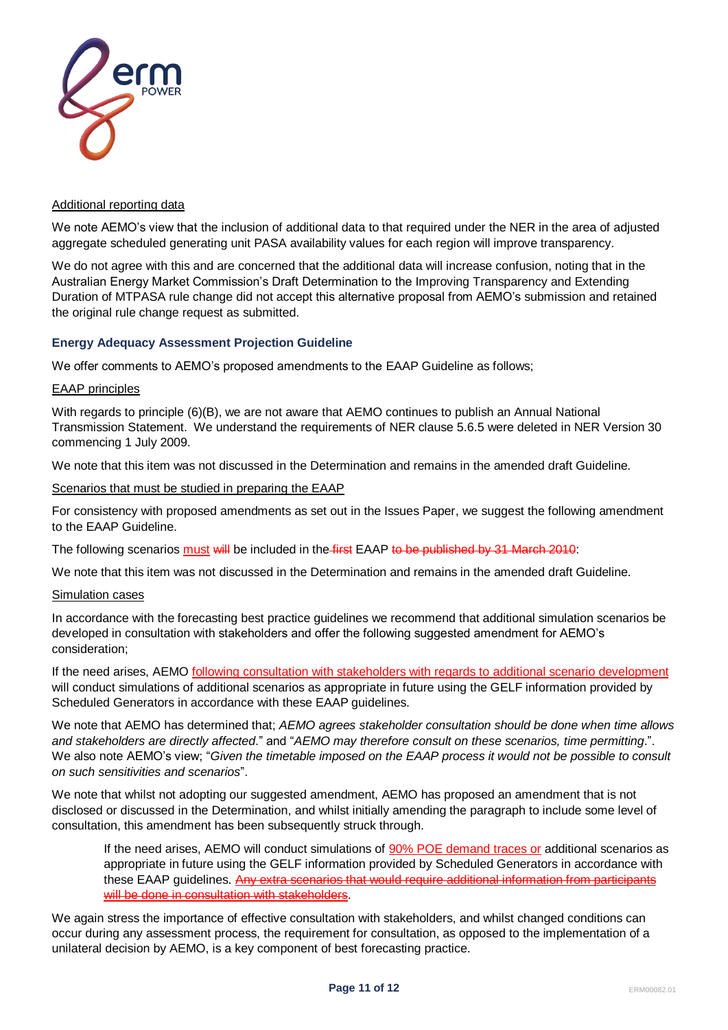

## Additional reporting data

We note AEMO's view that the inclusion of additional data to that required under the NER in the area of adjusted aggregate scheduled generating unit PASA availability values for each region will improve transparency.

We do not agree with this and are concerned that the additional data will increase confusion, noting that in the Australian Energy Market Commission's Draft Determination to the Improving Transparency and Extending Duration of MTPASA rule change did not accept this alternative proposal from AEMO's submission and retained the original rule change request as submitted.

### **Energy Adequacy Assessment Projection Guideline**

We offer comments to AEMO's proposed amendments to the EAAP Guideline as follows;

### EAAP principles

With regards to principle (6)(B), we are not aware that AEMO continues to publish an Annual National Transmission Statement. We understand the requirements of NER clause 5.6.5 were deleted in NER Version 30 commencing 1 July 2009.

We note that this item was not discussed in the Determination and remains in the amended draft Guideline.

Scenarios that must be studied in preparing the EAAP

For consistency with proposed amendments as set out in the Issues Paper, we suggest the following amendment to the EAAP Guideline.

The following scenarios must will be included in the first EAAP to be published by 31 March 2010:

We note that this item was not discussed in the Determination and remains in the amended draft Guideline.

### Simulation cases

In accordance with the forecasting best practice guidelines we recommend that additional simulation scenarios be developed in consultation with stakeholders and offer the following suggested amendment for AEMO's consideration;

If the need arises, AEMO following consultation with stakeholders with regards to additional scenario development will conduct simulations of additional scenarios as appropriate in future using the GELF information provided by Scheduled Generators in accordance with these EAAP guidelines.

We note that AEMO has determined that; *AEMO agrees stakeholder consultation should be done when time allows and stakeholders are directly affected*." and "*AEMO may therefore consult on these scenarios, time permitting*.". We also note AEMO's view; "*Given the timetable imposed on the EAAP process it would not be possible to consult on such sensitivities and scenarios*".

We note that whilst not adopting our suggested amendment, AEMO has proposed an amendment that is not disclosed or discussed in the Determination, and whilst initially amending the paragraph to include some level of consultation, this amendment has been subsequently struck through.

If the need arises, AEMO will conduct simulations of 90% POE demand traces or additional scenarios as appropriate in future using the GELF information provided by Scheduled Generators in accordance with these EAAP guidelines. Any extra scenarios that would require additional information from participants will be done in consultation with stakeholders.

We again stress the importance of effective consultation with stakeholders, and whilst changed conditions can occur during any assessment process, the requirement for consultation, as opposed to the implementation of a unilateral decision by AEMO, is a key component of best forecasting practice.